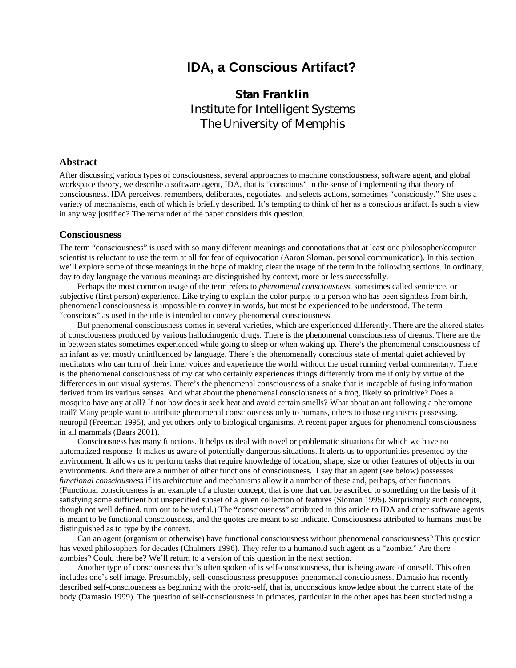# **IDA, a Conscious Artifact?**

# **Stan Franklin** Institute for Intelligent Systems The University of Memphis

# **Abstract**

After discussing various types of consciousness, several approaches to machine consciousness, software agent, and global workspace theory, we describe a software agent, IDA, that is "conscious" in the sense of implementing that theory of consciousness. IDA perceives, remembers, deliberates, negotiates, and selects actions, sometimes "consciously." She uses a variety of mechanisms, each of which is briefly described. It's tempting to think of her as a conscious artifact. Is such a view in any way justified? The remainder of the paper considers this question.

## **Consciousness**

The term "consciousness" is used with so many different meanings and connotations that at least one philosopher/computer scientist is reluctant to use the term at all for fear of equivocation (Aaron Sloman, personal communication). In this section we'll explore some of those meanings in the hope of making clear the usage of the term in the following sections. In ordinary, day to day language the various meanings are distinguished by context, more or less successfully.

Perhaps the most common usage of the term refers to *phenomenal consciousness*, sometimes called sentience, or subjective (first person) experience. Like trying to explain the color purple to a person who has been sightless from birth, phenomenal consciousness is impossible to convey in words, but must be experienced to be understood. The term "conscious" as used in the title is intended to convey phenomenal consciousness.

But phenomenal consciousness comes in several varieties, which are experienced differently. There are the altered states of consciousness produced by various hallucinogenic drugs. There is the phenomenal consciousness of dreams. There are the in between states sometimes experienced while going to sleep or when waking up. There's the phenomenal consciousness of an infant as yet mostly uninfluenced by language. There's the phenomenally conscious state of mental quiet achieved by meditators who can turn of their inner voices and experience the world without the usual running verbal commentary. There is the phenomenal consciousness of my cat who certainly experiences things differently from me if only by virtue of the differences in our visual systems. There's the phenomenal consciousness of a snake that is incapable of fusing information derived from its various senses. And what about the phenomenal consciousness of a frog, likely so primitive? Does a mosquito have any at all? If not how does it seek heat and avoid certain smells? What about an ant following a pheromone trail? Many people want to attribute phenomenal consciousness only to humans, others to those organisms possessing. neuropil (Freeman 1995), and yet others only to biological organisms. A recent paper argues for phenomenal consciousness in all mammals (Baars 2001).

Consciousness has many functions. It helps us deal with novel or problematic situations for which we have no automatized response. It makes us aware of potentially dangerous situations. It alerts us to opportunities presented by the environment. It allows us to perform tasks that require knowledge of location, shape, size or other features of objects in our environments. And there are a number of other functions of consciousness. I say that an agent (see below) possesses *functional consciousness* if its architecture and mechanisms allow it a number of these and, perhaps, other functions. (Functional consciousness is an example of a cluster concept, that is one that can be ascribed to something on the basis of it satisfying some sufficient but unspecified subset of a given collection of features (Sloman 1995). Surprisingly such concepts, though not well defined, turn out to be useful.) The "consciousness" attributed in this article to IDA and other software agents is meant to be functional consciousness, and the quotes are meant to so indicate. Consciousness attributed to humans must be distinguished as to type by the context.

Can an agent (organism or otherwise) have functional consciousness without phenomenal consciousness? This question has vexed philosophers for decades (Chalmers 1996). They refer to a humanoid such agent as a "zombie." Are there zombies? Could there be? We'll return to a version of this question in the next section.

Another type of consciousness that's often spoken of is self-consciousness, that is being aware of oneself. This often includes one's self image. Presumably, self-consciousness presupposes phenomenal consciousness. Damasio has recently described self-consciousness as beginning with the proto-self, that is, unconscious knowledge about the current state of the body (Damasio 1999). The question of self-consciousness in primates, particular in the other apes has been studied using a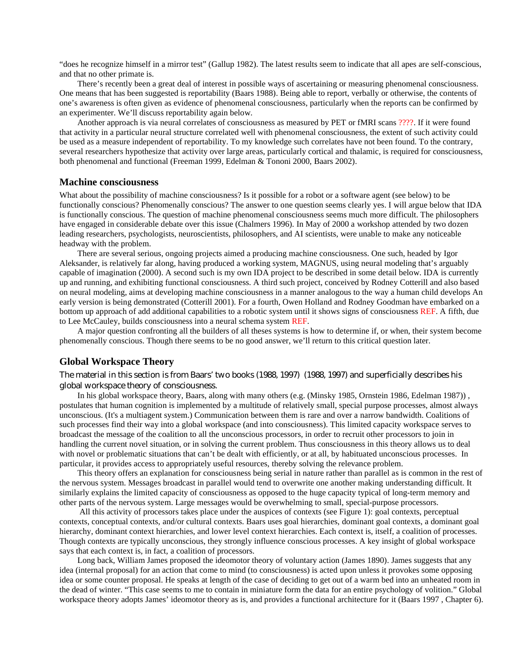"does he recognize himself in a mirror test" (Gallup 1982). The latest results seem to indicate that all apes are self-conscious, and that no other primate is.

There's recently been a great deal of interest in possible ways of ascertaining or measuring phenomenal consciousness. One means that has been suggested is reportability (Baars 1988). Being able to report, verbally or otherwise, the contents of one's awareness is often given as evidence of phenomenal consciousness, particularly when the reports can be confirmed by an experimenter. We'll discuss reportability again below.

Another approach is via neural correlates of consciousness as measured by PET or fMRI scans ????. If it were found that activity in a particular neural structure correlated well with phenomenal consciousness, the extent of such activity could be used as a measure independent of reportability. To my knowledge such correlates have not been found. To the contrary, several researchers hypothesize that activity over large areas, particularly cortical and thalamic, is required for consciousness, both phenomenal and functional (Freeman 1999, Edelman & Tononi 2000, Baars 2002).

## **Machine consciousness**

What about the possibility of machine consciousness? Is it possible for a robot or a software agent (see below) to be functionally conscious? Phenomenally conscious? The answer to one question seems clearly yes. I will argue below that IDA is functionally conscious. The question of machine phenomenal consciousness seems much more difficult. The philosophers have engaged in considerable debate over this issue (Chalmers 1996). In May of 2000 a workshop attended by two dozen leading researchers, psychologists, neuroscientists, philosophers, and AI scientists, were unable to make any noticeable headway with the problem.

There are several serious, ongoing projects aimed a producing machine consciousness. One such, headed by Igor Aleksander, is relatively far along, having produced a working system, MAGNUS, using neural modeling that's arguably capable of imagination (2000). A second such is my own IDA project to be described in some detail below. IDA is currently up and running, and exhibiting functional consciousness. A third such project, conceived by Rodney Cotterill and also based on neural modeling, aims at developing machine consciousness in a manner analogous to the way a human child develops An early version is being demonstrated (Cotterill 2001). For a fourth, Owen Holland and Rodney Goodman have embarked on a bottom up approach of add additional capabilities to a robotic system until it shows signs of consciousness REF. A fifth, due to Lee McCauley, builds consciousness into a neural schema system REF.

A major question confronting all the builders of all theses systems is how to determine if, or when, their system become phenomenally conscious. Though there seems to be no good answer, we'll return to this critical question later.

# **Global Workspace Theory**

The material in this section is from Baars' two books (1988, 1997) (1988, 1997) and superficially describes his global workspace theory of consciousness.

In his global workspace theory, Baars, along with many others (e.g. (Minsky 1985, Ornstein 1986, Edelman 1987)) , postulates that human cognition is implemented by a multitude of relatively small, special purpose processes, almost always unconscious. (It's a multiagent system.) Communication between them is rare and over a narrow bandwidth. Coalitions of such processes find their way into a global workspace (and into consciousness). This limited capacity workspace serves to broadcast the message of the coalition to all the unconscious processors, in order to recruit other processors to join in handling the current novel situation, or in solving the current problem. Thus consciousness in this theory allows us to deal with novel or problematic situations that can't be dealt with efficiently, or at all, by habituated unconscious processes. In particular, it provides access to appropriately useful resources, thereby solving the relevance problem.

This theory offers an explanation for consciousness being serial in nature rather than parallel as is common in the rest of the nervous system. Messages broadcast in parallel would tend to overwrite one another making understanding difficult. It similarly explains the limited capacity of consciousness as opposed to the huge capacity typical of long-term memory and other parts of the nervous system. Large messages would be overwhelming to small, special-purpose processors.

 All this activity of processors takes place under the auspices of contexts (see Figure 1): goal contexts, perceptual contexts, conceptual contexts, and/or cultural contexts. Baars uses goal hierarchies, dominant goal contexts, a dominant goal hierarchy, dominant context hierarchies, and lower level context hierarchies. Each context is, itself, a coalition of processes. Though contexts are typically unconscious, they strongly influence conscious processes. A key insight of global workspace says that each context is, in fact, a coalition of processors.

Long back, William James proposed the ideomotor theory of voluntary action (James 1890). James suggests that any idea (internal proposal) for an action that come to mind (to consciousness) is acted upon unless it provokes some opposing idea or some counter proposal. He speaks at length of the case of deciding to get out of a warm bed into an unheated room in the dead of winter. "This case seems to me to contain in miniature form the data for an entire psychology of volition." Global workspace theory adopts James' ideomotor theory as is, and provides a functional architecture for it (Baars 1997 , Chapter 6).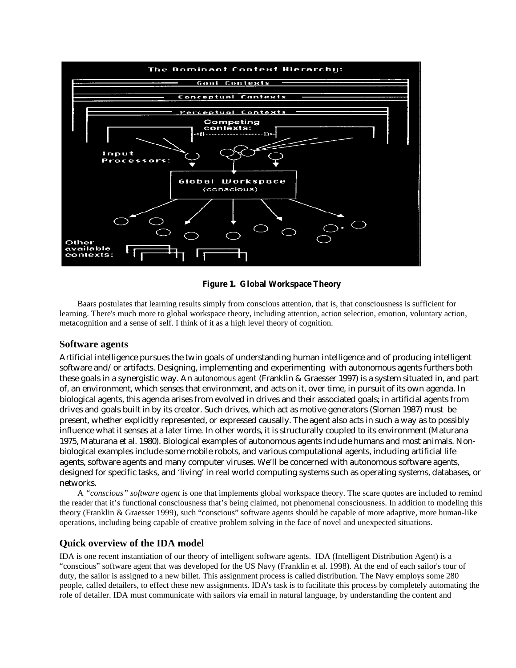

**Figure 1. Global Workspace Theory**

Baars postulates that learning results simply from conscious attention, that is, that consciousness is sufficient for learning. There's much more to global workspace theory, including attention, action selection, emotion, voluntary action, metacognition and a sense of self. I think of it as a high level theory of cognition.

# **Software agents**

Artificial intelligence pursues the twin goals of understanding human intelligence and of producing intelligent software and/or artifacts. Designing, implementing and experimenting with autonomous agents furthers both these goals in a synergistic way. An *autonomous agent* (Franklin & Graesser 1997) is a system situated in, and part of, an environment, which senses that environment, and acts on it, over time, in pursuit of its own agenda. In biological agents, this agenda arises from evolved in drives and their associated goals; in artificial agents from drives and goals built in by its creator. Such drives, which act as motive generators (Sloman 1987) must be present, whether explicitly represented, or expressed causally. The agent also acts in such a way as to possibly influence what it senses at a later time. In other words, it is structurally coupled to its environment (Maturana 1975, Maturana et al. 1980). Biological examples of autonomous agents include humans and most animals. Nonbiological examples include some mobile robots, and various computational agents, including artificial life agents, software agents and many computer viruses. We'll be concerned with autonomous software agents, designed for specific tasks, and 'living' in real world computing systems such as operating systems, databases, or networks.

A *"conscious" software agent* is one that implements global workspace theory. The scare quotes are included to remind the reader that it's functional consciousness that's being claimed, not phenomenal consciousness. In addition to modeling this theory (Franklin & Graesser 1999), such "conscious" software agents should be capable of more adaptive, more human-like operations, including being capable of creative problem solving in the face of novel and unexpected situations.

# **Quick overview of the IDA model**

IDA is one recent instantiation of our theory of intelligent software agents. IDA (Intelligent Distribution Agent) is a "conscious" software agent that was developed for the US Navy (Franklin et al. 1998). At the end of each sailor's tour of duty, the sailor is assigned to a new billet. This assignment process is called distribution. The Navy employs some 280 people, called detailers, to effect these new assignments. IDA's task is to facilitate this process by completely automating the role of detailer. IDA must communicate with sailors via email in natural language, by understanding the content and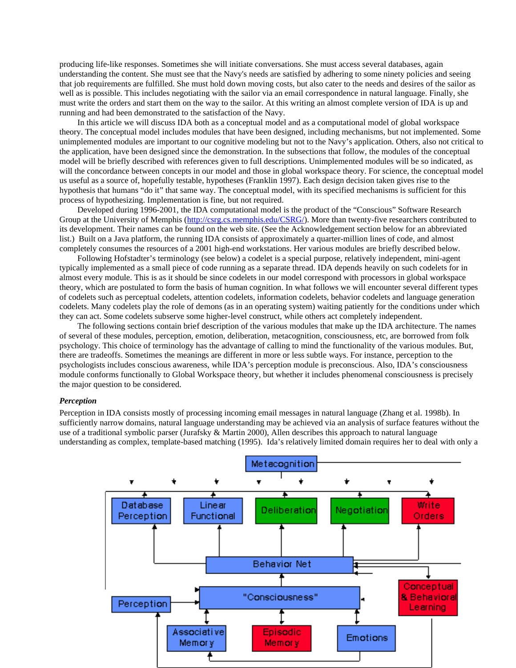producing life-like responses. Sometimes she will initiate conversations. She must access several databases, again understanding the content. She must see that the Navy's needs are satisfied by adhering to some ninety policies and seeing that job requirements are fulfilled. She must hold down moving costs, but also cater to the needs and desires of the sailor as well as is possible. This includes negotiating with the sailor via an email correspondence in natural language. Finally, she must write the orders and start them on the way to the sailor. At this writing an almost complete version of IDA is up and running and had been demonstrated to the satisfaction of the Navy.

In this article we will discuss IDA both as a conceptual model and as a computational model of global workspace theory. The conceptual model includes modules that have been designed, including mechanisms, but not implemented. Some unimplemented modules are important to our cognitive modeling but not to the Navy's application. Others, also not critical to the application, have been designed since the demonstration. In the subsections that follow, the modules of the conceptual model will be briefly described with references given to full descriptions. Unimplemented modules will be so indicated, as will the concordance between concepts in our model and those in global workspace theory. For science, the conceptual model us useful as a source of, hopefully testable, hypotheses (Franklin 1997). Each design decision taken gives rise to the hypothesis that humans "do it" that same way. The conceptual model, with its specified mechanisms is sufficient for this process of hypothesizing. Implementation is fine, but not required.

Developed during 1996-2001, the IDA computational model is the product of the "Conscious" Software Research Group at the University of Memphis (http://csrg.cs.memphis.edu/CSRG/). More than twenty-five researchers contributed to its development. Their names can be found on the web site. (See the Acknowledgement section below for an abbreviated list.) Built on a Java platform, the running IDA consists of approximately a quarter-million lines of code, and almost completely consumes the resources of a 2001 high-end workstations. Her various modules are briefly described below.

Following Hofstadter's terminology (see below) a codelet is a special purpose, relatively independent, mini-agent typically implemented as a small piece of code running as a separate thread. IDA depends heavily on such codelets for in almost every module. This is as it should be since codelets in our model correspond with processors in global workspace theory, which are postulated to form the basis of human cognition. In what follows we will encounter several different types of codelets such as perceptual codelets, attention codelets, information codelets, behavior codelets and language generation codelets. Many codelets play the role of demons (as in an operating system) waiting patiently for the conditions under which they can act. Some codelets subserve some higher-level construct, while others act completely independent.

The following sections contain brief description of the various modules that make up the IDA architecture. The names of several of these modules, perception, emotion, deliberation, metacognition, consciousness, etc, are borrowed from folk psychology. This choice of terminology has the advantage of calling to mind the functionality of the various modules. But, there are tradeoffs. Sometimes the meanings are different in more or less subtle ways. For instance, perception to the psychologists includes conscious awareness, while IDA's perception module is preconscious. Also, IDA's consciousness module conforms functionally to Global Workspace theory, but whether it includes phenomenal consciousness is precisely the major question to be considered.

### *Perception*

Perception in IDA consists mostly of processing incoming email messages in natural language (Zhang et al. 1998b). In sufficiently narrow domains, natural language understanding may be achieved via an analysis of surface features without the use of a traditional symbolic parser (Jurafsky & Martin 2000), Allen describes this approach to natural language understanding as complex, template-based matching (1995). Ida's relatively limited domain requires her to deal with only a

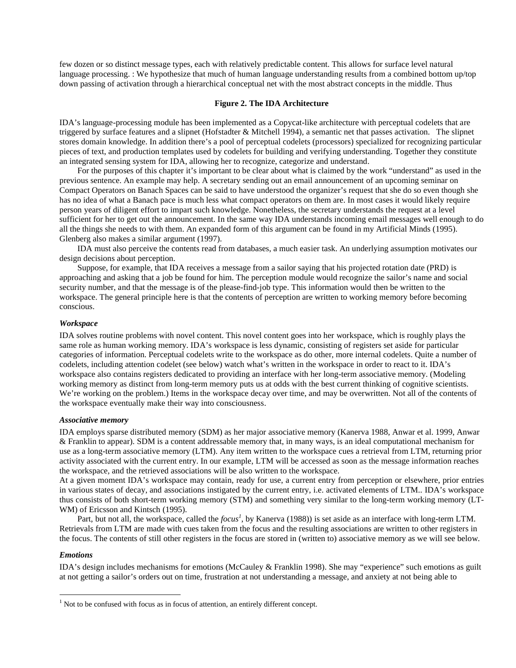few dozen or so distinct message types, each with relatively predictable content. This allows for surface level natural language processing. : We hypothesize that much of human language understanding results from a combined bottom up/top down passing of activation through a hierarchical conceptual net with the most abstract concepts in the middle. Thus

# **Figure 2. The IDA Architecture**

IDA's language-processing module has been implemented as a Copycat-like architecture with perceptual codelets that are triggered by surface features and a slipnet (Hofstadter & Mitchell 1994), a semantic net that passes activation. The slipnet stores domain knowledge. In addition there's a pool of perceptual codelets (processors) specialized for recognizing particular pieces of text, and production templates used by codelets for building and verifying understanding. Together they constitute an integrated sensing system for IDA, allowing her to recognize, categorize and understand.

For the purposes of this chapter it's important to be clear about what is claimed by the work "understand" as used in the previous sentence. An example may help. A secretary sending out an email announcement of an upcoming seminar on Compact Operators on Banach Spaces can be said to have understood the organizer's request that she do so even though she has no idea of what a Banach pace is much less what compact operators on them are. In most cases it would likely require person years of diligent effort to impart such knowledge. Nonetheless, the secretary understands the request at a level sufficient for her to get out the announcement. In the same way IDA understands incoming email messages well enough to do all the things she needs to with them. An expanded form of this argument can be found in my Artificial Minds (1995). Glenberg also makes a similar argument (1997).

IDA must also perceive the contents read from databases, a much easier task. An underlying assumption motivates our design decisions about perception.

Suppose, for example, that IDA receives a message from a sailor saying that his projected rotation date (PRD) is approaching and asking that a job be found for him. The perception module would recognize the sailor's name and social security number, and that the message is of the please-find-job type. This information would then be written to the workspace. The general principle here is that the contents of perception are written to working memory before becoming conscious.

#### *Workspace*

IDA solves routine problems with novel content. This novel content goes into her workspace, which is roughly plays the same role as human working memory. IDA's workspace is less dynamic, consisting of registers set aside for particular categories of information. Perceptual codelets write to the workspace as do other, more internal codelets. Quite a number of codelets, including attention codelet (see below) watch what's written in the workspace in order to react to it. IDA's workspace also contains registers dedicated to providing an interface with her long-term associative memory. (Modeling working memory as distinct from long-term memory puts us at odds with the best current thinking of cognitive scientists. We're working on the problem.) Items in the workspace decay over time, and may be overwritten. Not all of the contents of the workspace eventually make their way into consciousness.

#### *Associative memory*

IDA employs sparse distributed memory (SDM) as her major associative memory (Kanerva 1988, Anwar et al. 1999, Anwar & Franklin to appear). SDM is a content addressable memory that, in many ways, is an ideal computational mechanism for use as a long-term associative memory (LTM). Any item written to the workspace cues a retrieval from LTM, returning prior activity associated with the current entry. In our example, LTM will be accessed as soon as the message information reaches the workspace, and the retrieved associations will be also written to the workspace.

At a given moment IDA's workspace may contain, ready for use, a current entry from perception or elsewhere, prior entries in various states of decay, and associations instigated by the current entry, i.e. activated elements of LTM.. IDA's workspace thus consists of both short-term working memory (STM) and something very similar to the long-term working memory (LT-WM) of Ericsson and Kintsch (1995).

Part, but not all, the workspace, called the *focus<sup>1</sup>*, by Kanerva (1988)) is set aside as an interface with long-term LTM. Retrievals from LTM are made with cues taken from the focus and the resulting associations are written to other registers in the focus. The contents of still other registers in the focus are stored in (written to) associative memory as we will see below.

#### *Emotions*

 $\overline{a}$ 

IDA's design includes mechanisms for emotions (McCauley & Franklin 1998). She may "experience" such emotions as guilt at not getting a sailor's orders out on time, frustration at not understanding a message, and anxiety at not being able to

 $<sup>1</sup>$  Not to be confused with focus as in focus of attention, an entirely different concept.</sup>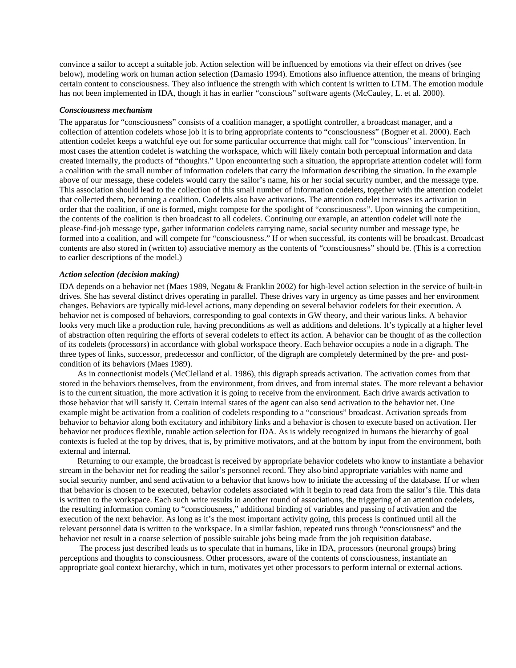convince a sailor to accept a suitable job. Action selection will be influenced by emotions via their effect on drives (see below), modeling work on human action selection (Damasio 1994). Emotions also influence attention, the means of bringing certain content to consciousness. They also influence the strength with which content is written to LTM. The emotion module has not been implemented in IDA, though it has in earlier "conscious" software agents (McCauley, L. et al. 2000).

#### *Consciousness mechanism*

The apparatus for "consciousness" consists of a coalition manager, a spotlight controller, a broadcast manager, and a collection of attention codelets whose job it is to bring appropriate contents to "consciousness" (Bogner et al. 2000). Each attention codelet keeps a watchful eye out for some particular occurrence that might call for "conscious" intervention. In most cases the attention codelet is watching the workspace, which will likely contain both perceptual information and data created internally, the products of "thoughts." Upon encountering such a situation, the appropriate attention codelet will form a coalition with the small number of information codelets that carry the information describing the situation. In the example above of our message, these codelets would carry the sailor's name, his or her social security number, and the message type. This association should lead to the collection of this small number of information codelets, together with the attention codelet that collected them, becoming a coalition. Codelets also have activations. The attention codelet increases its activation in order that the coalition, if one is formed, might compete for the spotlight of "consciousness". Upon winning the competition, the contents of the coalition is then broadcast to all codelets. Continuing our example, an attention codelet will note the please-find-job message type, gather information codelets carrying name, social security number and message type, be formed into a coalition, and will compete for "consciousness." If or when successful, its contents will be broadcast. Broadcast contents are also stored in (written to) associative memory as the contents of "consciousness" should be. (This is a correction to earlier descriptions of the model.)

## *Action selection (decision making)*

IDA depends on a behavior net (Maes 1989, Negatu & Franklin 2002) for high-level action selection in the service of built-in drives. She has several distinct drives operating in parallel. These drives vary in urgency as time passes and her environment changes. Behaviors are typically mid-level actions, many depending on several behavior codelets for their execution. A behavior net is composed of behaviors, corresponding to goal contexts in GW theory, and their various links. A behavior looks very much like a production rule, having preconditions as well as additions and deletions. It's typically at a higher level of abstraction often requiring the efforts of several codelets to effect its action. A behavior can be thought of as the collection of its codelets (processors) in accordance with global workspace theory. Each behavior occupies a node in a digraph. The three types of links, successor, predecessor and conflictor, of the digraph are completely determined by the pre- and postcondition of its behaviors (Maes 1989).

As in connectionist models (McClelland et al. 1986), this digraph spreads activation. The activation comes from that stored in the behaviors themselves, from the environment, from drives, and from internal states. The more relevant a behavior is to the current situation, the more activation it is going to receive from the environment. Each drive awards activation to those behavior that will satisfy it. Certain internal states of the agent can also send activation to the behavior net. One example might be activation from a coalition of codelets responding to a "conscious" broadcast. Activation spreads from behavior to behavior along both excitatory and inhibitory links and a behavior is chosen to execute based on activation. Her behavior net produces flexible, tunable action selection for IDA. As is widely recognized in humans the hierarchy of goal contexts is fueled at the top by drives, that is, by primitive motivators, and at the bottom by input from the environment, both external and internal*.*

Returning to our example, the broadcast is received by appropriate behavior codelets who know to instantiate a behavior stream in the behavior net for reading the sailor's personnel record. They also bind appropriate variables with name and social security number, and send activation to a behavior that knows how to initiate the accessing of the database. If or when that behavior is chosen to be executed, behavior codelets associated with it begin to read data from the sailor's file. This data is written to the workspace. Each such write results in another round of associations, the triggering of an attention codelets, the resulting information coming to "consciousness," additional binding of variables and passing of activation and the execution of the next behavior. As long as it's the most important activity going, this process is continued until all the relevant personnel data is written to the workspace. In a similar fashion, repeated runs through "consciousness" and the behavior net result in a coarse selection of possible suitable jobs being made from the job requisition database.

 The process just described leads us to speculate that in humans, like in IDA, processors (neuronal groups) bring perceptions and thoughts to consciousness. Other processors, aware of the contents of consciousness, instantiate an appropriate goal context hierarchy, which in turn, motivates yet other processors to perform internal or external actions.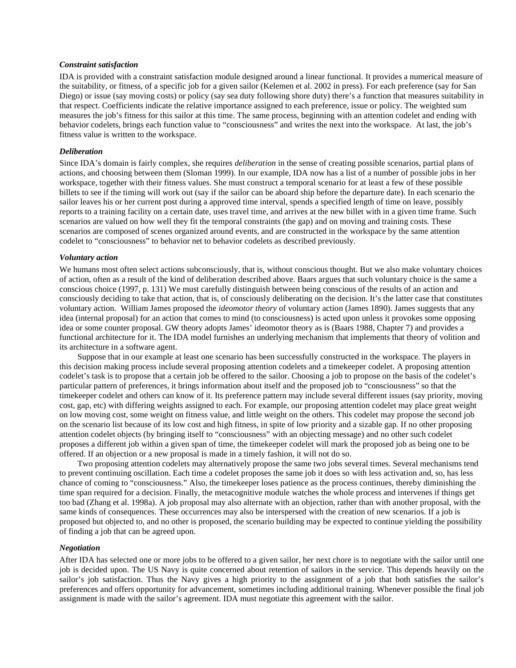#### *Constraint satisfaction*

IDA is provided with a constraint satisfaction module designed around a linear functional. It provides a numerical measure of the suitability, or fitness, of a specific job for a given sailor (Kelemen et al. 2002 in press). For each preference (say for San Diego) or issue (say moving costs) or policy (say sea duty following shore duty) there's a function that measures suitability in that respect. Coefficients indicate the relative importance assigned to each preference, issue or policy. The weighted sum measures the job's fitness for this sailor at this time. The same process, beginning with an attention codelet and ending with behavior codelets, brings each function value to "consciousness" and writes the next into the workspace. At last, the job's fitness value is written to the workspace.

### *Deliberation*

Since IDA's domain is fairly complex, she requires *deliberation* in the sense of creating possible scenarios, partial plans of actions, and choosing between them (Sloman 1999). In our example, IDA now has a list of a number of possible jobs in her workspace, together with their fitness values. She must construct a temporal scenario for at least a few of these possible billets to see if the timing will work out (say if the sailor can be aboard ship before the departure date). In each scenario the sailor leaves his or her current post during a approved time interval, spends a specified length of time on leave, possibly reports to a training facility on a certain date, uses travel time, and arrives at the new billet with in a given time frame. Such scenarios are valued on how well they fit the temporal constraints (the gap) and on moving and training costs. These scenarios are composed of scenes organized around events, and are constructed in the workspace by the same attention codelet to "consciousness" to behavior net to behavior codelets as described previously.

#### *Voluntary action*

We humans most often select actions subconsciously, that is, without conscious thought. But we also make voluntary choices of action, often as a result of the kind of deliberation described above. Baars argues that such voluntary choice is the same a conscious choice (1997, p. 131) We must carefully distinguish between being conscious of the results of an action and consciously deciding to take that action, that is, of consciously deliberating on the decision. It's the latter case that constitutes voluntary action. William James proposed the *ideomotor theory* of voluntary action (James 1890). James suggests that any idea (internal proposal) for an action that comes to mind (to consciousness) is acted upon unless it provokes some opposing idea or some counter proposal. GW theory adopts James' ideomotor theory as is (Baars 1988, Chapter 7) and provides a functional architecture for it. The IDA model furnishes an underlying mechanism that implements that theory of volition and its architecture in a software agent.

Suppose that in our example at least one scenario has been successfully constructed in the workspace. The players in this decision making process include several proposing attention codelets and a timekeeper codelet. A proposing attention codelet's task is to propose that a certain job be offered to the sailor. Choosing a job to propose on the basis of the codelet's particular pattern of preferences, it brings information about itself and the proposed job to "consciousness" so that the timekeeper codelet and others can know of it. Its preference pattern may include several different issues (say priority, moving cost, gap, etc) with differing weights assigned to each. For example, our proposing attention codelet may place great weight on low moving cost, some weight on fitness value, and little weight on the others. This codelet may propose the second job on the scenario list because of its low cost and high fitness, in spite of low priority and a sizable gap. If no other proposing attention codelet objects (by bringing itself to "consciousness" with an objecting message) and no other such codelet proposes a different job within a given span of time, the timekeeper codelet will mark the proposed job as being one to be offered. If an objection or a new proposal is made in a timely fashion, it will not do so.

Two proposing attention codelets may alternatively propose the same two jobs several times. Several mechanisms tend to prevent continuing oscillation. Each time a codelet proposes the same job it does so with less activation and, so, has less chance of coming to "consciousness." Also, the timekeeper loses patience as the process continues, thereby diminishing the time span required for a decision. Finally, the metacognitive module watches the whole process and intervenes if things get too bad (Zhang et al. 1998a). A job proposal may also alternate with an objection, rather than with another proposal, with the same kinds of consequences. These occurrences may also be interspersed with the creation of new scenarios. If a job is proposed but objected to, and no other is proposed, the scenario building may be expected to continue yielding the possibility of finding a job that can be agreed upon.

### *Negotiation*

After IDA has selected one or more jobs to be offered to a given sailor, her next chore is to negotiate with the sailor until one job is decided upon. The US Navy is quite concerned about retention of sailors in the service. This depends heavily on the sailor's job satisfaction. Thus the Navy gives a high priority to the assignment of a job that both satisfies the sailor's preferences and offers opportunity for advancement, sometimes including additional training. Whenever possible the final job assignment is made with the sailor's agreement. IDA must negotiate this agreement with the sailor.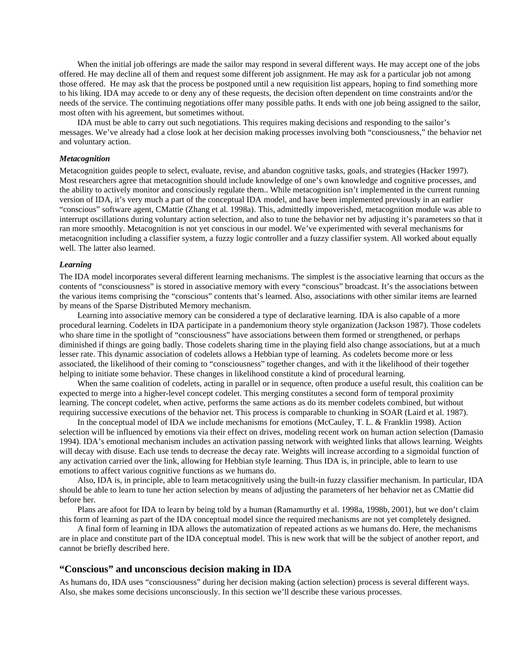When the initial job offerings are made the sailor may respond in several different ways. He may accept one of the jobs offered. He may decline all of them and request some different job assignment. He may ask for a particular job not among those offered. He may ask that the process be postponed until a new requisition list appears, hoping to find something more to his liking. IDA may accede to or deny any of these requests, the decision often dependent on time constraints and/or the needs of the service. The continuing negotiations offer many possible paths. It ends with one job being assigned to the sailor, most often with his agreement, but sometimes without.

IDA must be able to carry out such negotiations. This requires making decisions and responding to the sailor's messages. We've already had a close look at her decision making processes involving both "consciousness," the behavior net and voluntary action.

### *Metacognition*

Metacognition guides people to select, evaluate, revise, and abandon cognitive tasks, goals, and strategies (Hacker 1997). Most researchers agree that metacognition should include knowledge of one's own knowledge and cognitive processes, and the ability to actively monitor and consciously regulate them.. While metacognition isn't implemented in the current running version of IDA, it's very much a part of the conceptual IDA model, and have been implemented previously in an earlier "conscious" software agent, CMattie (Zhang et al. 1998a). This, admittedly impoverished, metacognition module was able to interrupt oscillations during voluntary action selection, and also to tune the behavior net by adjusting it's parameters so that it ran more smoothly. Metacognition is not yet conscious in our model. We've experimented with several mechanisms for metacognition including a classifier system, a fuzzy logic controller and a fuzzy classifier system. All worked about equally well. The latter also learned.

### *Learning*

The IDA model incorporates several different learning mechanisms. The simplest is the associative learning that occurs as the contents of "consciousness" is stored in associative memory with every "conscious" broadcast. It's the associations between the various items comprising the "conscious" contents that's learned. Also, associations with other similar items are learned by means of the Sparse Distributed Memory mechanism.

Learning into associative memory can be considered a type of declarative learning. IDA is also capable of a more procedural learning. Codelets in IDA participate in a pandemonium theory style organization (Jackson 1987). Those codelets who share time in the spotlight of "consciousness" have associations between them formed or strengthened, or perhaps diminished if things are going badly. Those codelets sharing time in the playing field also change associations, but at a much lesser rate. This dynamic association of codelets allows a Hebbian type of learning. As codelets become more or less associated, the likelihood of their coming to "consciousness" together changes, and with it the likelihood of their together helping to initiate some behavior. These changes in likelihood constitute a kind of procedural learning.

When the same coalition of codelets, acting in parallel or in sequence, often produce a useful result, this coalition can be expected to merge into a higher-level concept codelet. This merging constitutes a second form of temporal proximity learning. The concept codelet, when active, performs the same actions as do its member codelets combined, but without requiring successive executions of the behavior net. This process is comparable to chunking in SOAR (Laird et al. 1987).

In the conceptual model of IDA we include mechanisms for emotions (McCauley, T. L. & Franklin 1998). Action selection will be influenced by emotions via their effect on drives, modeling recent work on human action selection (Damasio 1994). IDA's emotional mechanism includes an activation passing network with weighted links that allows learning. Weights will decay with disuse. Each use tends to decrease the decay rate. Weights will increase according to a sigmoidal function of any activation carried over the link, allowing for Hebbian style learning. Thus IDA is, in principle, able to learn to use emotions to affect various cognitive functions as we humans do.

Also, IDA is, in principle, able to learn metacognitively using the built-in fuzzy classifier mechanism. In particular, IDA should be able to learn to tune her action selection by means of adjusting the parameters of her behavior net as CMattie did before her.

Plans are afoot for IDA to learn by being told by a human (Ramamurthy et al. 1998a, 1998b, 2001), but we don't claim this form of learning as part of the IDA conceptual model since the required mechanisms are not yet completely designed.

A final form of learning in IDA allows the automatization of repeated actions as we humans do. Here, the mechanisms are in place and constitute part of the IDA conceptual model. This is new work that will be the subject of another report, and cannot be briefly described here.

## **"Conscious" and unconscious decision making in IDA**

As humans do, IDA uses "consciousness" during her decision making (action selection) process is several different ways. Also, she makes some decisions unconsciously. In this section we'll describe these various processes.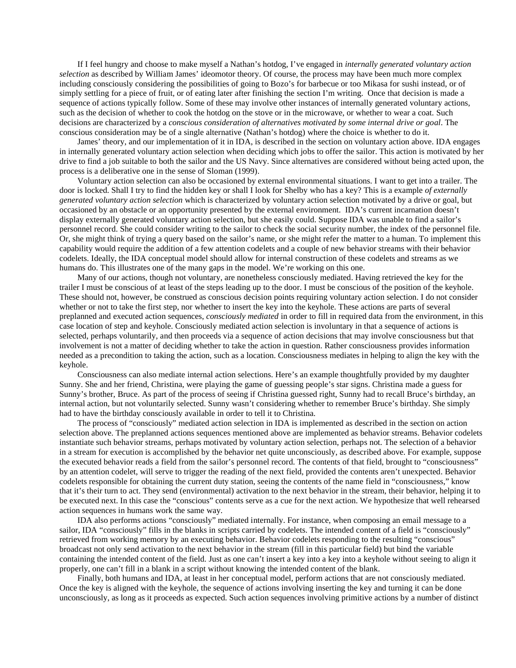If I feel hungry and choose to make myself a Nathan's hotdog, I've engaged in *internally generated voluntary action selection* as described by William James' ideomotor theory. Of course, the process may have been much more complex including consciously considering the possibilities of going to Bozo's for barbecue or too Mikasa for sushi instead, or of simply settling for a piece of fruit, or of eating later after finishing the section I'm writing. Once that decision is made a sequence of actions typically follow. Some of these may involve other instances of internally generated voluntary actions, such as the decision of whether to cook the hotdog on the stove or in the microwave, or whether to wear a coat. Such decisions are characterized by a *conscious consideration of alternatives motivated by some internal drive or goal*. The conscious consideration may be of a single alternative (Nathan's hotdog) where the choice is whether to do it.

James' theory, and our implementation of it in IDA, is described in the section on voluntary action above. IDA engages in internally generated voluntary action selection when deciding which jobs to offer the sailor. This action is motivated by her drive to find a job suitable to both the sailor and the US Navy. Since alternatives are considered without being acted upon, the process is a deliberative one in the sense of Sloman (1999).

Voluntary action selection can also be occasioned by external environmental situations. I want to get into a trailer. The door is locked. Shall I try to find the hidden key or shall I look for Shelby who has a key? This is a example *of externally generated voluntary action selection* which is characterized by voluntary action selection motivated by a drive or goal, but occasioned by an obstacle or an opportunity presented by the external environment. IDA's current incarnation doesn't display externally generated voluntary action selection, but she easily could. Suppose IDA was unable to find a sailor's personnel record. She could consider writing to the sailor to check the social security number, the index of the personnel file. Or, she might think of trying a query based on the sailor's name, or she might refer the matter to a human. To implement this capability would require the addition of a few attention codelets and a couple of new behavior streams with their behavior codelets. Ideally, the IDA conceptual model should allow for internal construction of these codelets and streams as we humans do. This illustrates one of the many gaps in the model. We're working on this one.

Many of our actions, though not voluntary, are nonetheless consciously mediated. Having retrieved the key for the trailer I must be conscious of at least of the steps leading up to the door. I must be conscious of the position of the keyhole. These should not, however, be construed as conscious decision points requiring voluntary action selection. I do not consider whether or not to take the first step, nor whether to insert the key into the keyhole. These actions are parts of several preplanned and executed action sequences, *consciously mediated* in order to fill in required data from the environment, in this case location of step and keyhole. Consciously mediated action selection is involuntary in that a sequence of actions is selected, perhaps voluntarily, and then proceeds via a sequence of action decisions that may involve consciousness but that involvement is not a matter of deciding whether to take the action in question. Rather consciousness provides information needed as a precondition to taking the action, such as a location. Consciousness mediates in helping to align the key with the keyhole.

Consciousness can also mediate internal action selections. Here's an example thoughtfully provided by my daughter Sunny. She and her friend, Christina, were playing the game of guessing people's star signs. Christina made a guess for Sunny's brother, Bruce. As part of the process of seeing if Christina guessed right, Sunny had to recall Bruce's birthday, an internal action, but not voluntarily selected. Sunny wasn't considering whether to remember Bruce's birthday. She simply had to have the birthday consciously available in order to tell it to Christina.

The process of "consciously" mediated action selection in IDA is implemented as described in the section on action selection above. The preplanned actions sequences mentioned above are implemented as behavior streams. Behavior codelets instantiate such behavior streams, perhaps motivated by voluntary action selection, perhaps not. The selection of a behavior in a stream for execution is accomplished by the behavior net quite unconsciously, as described above. For example, suppose the executed behavior reads a field from the sailor's personnel record. The contents of that field, brought to "consciousness" by an attention codelet, will serve to trigger the reading of the next field, provided the contents aren't unexpected. Behavior codelets responsible for obtaining the current duty station, seeing the contents of the name field in "consciousness," know that it's their turn to act. They send (environmental) activation to the next behavior in the stream, their behavior, helping it to be executed next. In this case the "conscious" contents serve as a cue for the next action. We hypothesize that well rehearsed action sequences in humans work the same way.

IDA also performs actions "consciously" mediated internally. For instance, when composing an email message to a sailor, IDA "consciously" fills in the blanks in scripts carried by codelets. The intended content of a field is "consciously" retrieved from working memory by an executing behavior. Behavior codelets responding to the resulting "conscious" broadcast not only send activation to the next behavior in the stream (fill in this particular field) but bind the variable containing the intended content of the field. Just as one can't insert a key into a key into a keyhole without seeing to align it properly, one can't fill in a blank in a script without knowing the intended content of the blank.

Finally, both humans and IDA, at least in her conceptual model, perform actions that are not consciously mediated. Once the key is aligned with the keyhole, the sequence of actions involving inserting the key and turning it can be done unconsciously, as long as it proceeds as expected. Such action sequences involving primitive actions by a number of distinct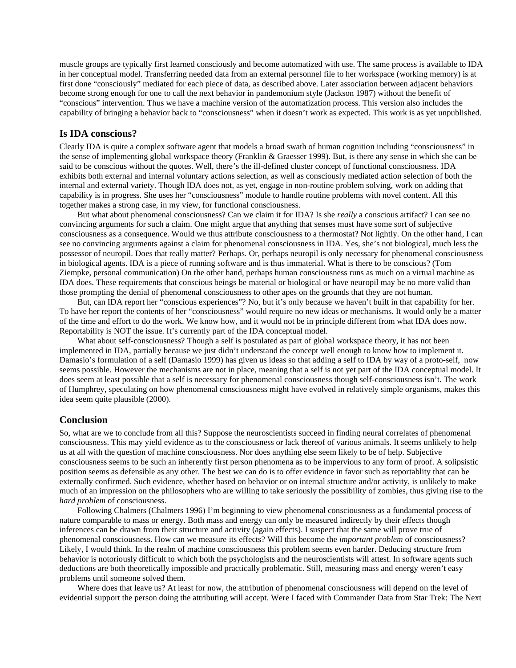muscle groups are typically first learned consciously and become automatized with use. The same process is available to IDA in her conceptual model. Transferring needed data from an external personnel file to her workspace (working memory) is at first done "consciously" mediated for each piece of data, as described above. Later association between adjacent behaviors become strong enough for one to call the next behavior in pandemonium style (Jackson 1987) without the benefit of "conscious" intervention. Thus we have a machine version of the automatization process. This version also includes the capability of bringing a behavior back to "consciousness" when it doesn't work as expected. This work is as yet unpublished.

# **Is IDA conscious?**

Clearly IDA is quite a complex software agent that models a broad swath of human cognition including "consciousness" in the sense of implementing global workspace theory (Franklin & Graesser 1999). But, is there any sense in which she can be said to be conscious without the quotes. Well, there's the ill-defined cluster concept of functional consciousness. IDA exhibits both external and internal voluntary actions selection, as well as consciously mediated action selection of both the internal and external variety. Though IDA does not, as yet, engage in non-routine problem solving, work on adding that capability is in progress. She uses her "consciousness" module to handle routine problems with novel content. All this together makes a strong case, in my view, for functional consciousness.

But what about phenomenal consciousness? Can we claim it for IDA? Is she *really* a conscious artifact? I can see no convincing arguments for such a claim. One might argue that anything that senses must have some sort of subjective consciousness as a consequence. Would we thus attribute consciousness to a thermostat? Not lightly. On the other hand, I can see no convincing arguments against a claim for phenomenal consciousness in IDA. Yes, she's not biological, much less the possessor of neuropil. Does that really matter? Perhaps. Or, perhaps neuropil is only necessary for phenomenal consciousness in biological agents. IDA is a piece of running software and is thus immaterial. What is there to be conscious? (Tom Ziempke, personal communication) On the other hand, perhaps human consciousness runs as much on a virtual machine as IDA does. These requirements that conscious beings be material or biological or have neuropil may be no more valid than those prompting the denial of phenomenal consciousness to other apes on the grounds that they are not human.

But, can IDA report her "conscious experiences"? No, but it's only because we haven't built in that capability for her. To have her report the contents of her "consciousness" would require no new ideas or mechanisms. It would only be a matter of the time and effort to do the work. We know how, and it would not be in principle different from what IDA does now. Reportability is NOT the issue. It's currently part of the IDA conceptual model.

What about self-consciousness? Though a self is postulated as part of global workspace theory, it has not been implemented in IDA, partially because we just didn't understand the concept well enough to know how to implement it. Damasio's formulation of a self (Damasio 1999) has given us ideas so that adding a self to IDA by way of a proto-self, now seems possible. However the mechanisms are not in place, meaning that a self is not yet part of the IDA conceptual model. It does seem at least possible that a self is necessary for phenomenal consciousness though self-consciousness isn't. The work of Humphrey, speculating on how phenomenal consciousness might have evolved in relatively simple organisms, makes this idea seem quite plausible (2000).

# **Conclusion**

So, what are we to conclude from all this? Suppose the neuroscientists succeed in finding neural correlates of phenomenal consciousness. This may yield evidence as to the consciousness or lack thereof of various animals. It seems unlikely to help us at all with the question of machine consciousness. Nor does anything else seem likely to be of help. Subjective consciousness seems to be such an inherently first person phenomena as to be impervious to any form of proof. A solipsistic position seems as defensible as any other. The best we can do is to offer evidence in favor such as reportablity that can be externally confirmed. Such evidence, whether based on behavior or on internal structure and/or activity, is unlikely to make much of an impression on the philosophers who are willing to take seriously the possibility of zombies, thus giving rise to the *hard problem* of consciousness.

Following Chalmers (Chalmers 1996) I'm beginning to view phenomenal consciousness as a fundamental process of nature comparable to mass or energy. Both mass and energy can only be measured indirectly by their effects though inferences can be drawn from their structure and activity (again effects). I suspect that the same will prove true of phenomenal consciousness. How can we measure its effects? Will this become the *important problem* of consciousness? Likely, I would think. In the realm of machine consciousness this problem seems even harder. Deducing structure from behavior is notoriously difficult to which both the psychologists and the neuroscientists will attest. In software agents such deductions are both theoretically impossible and practically problematic. Still, measuring mass and energy weren't easy problems until someone solved them.

Where does that leave us? At least for now, the attribution of phenomenal consciousness will depend on the level of evidential support the person doing the attributing will accept. Were I faced with Commander Data from Star Trek: The Next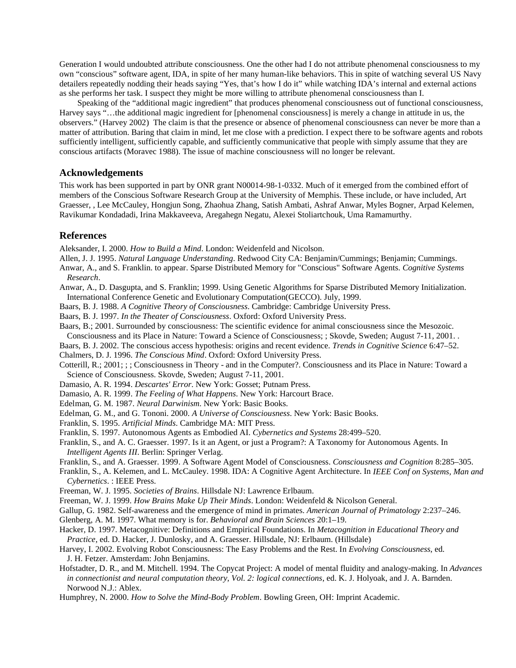Generation I would undoubted attribute consciousness. One the other had I do not attribute phenomenal consciousness to my own "conscious" software agent, IDA, in spite of her many human-like behaviors. This in spite of watching several US Navy detailers repeatedly nodding their heads saying "Yes, that's how I do it" while watching IDA's internal and external actions as she performs her task. I suspect they might be more willing to attribute phenomenal consciousness than I.

Speaking of the "additional magic ingredient" that produces phenomenal consciousness out of functional consciousness, Harvey says "...the additional magic ingredient for [phenomenal consciousness] is merely a change in attitude in us, the observers." (Harvey 2002) The claim is that the presence or absence of phenomenal consciousness can never be more than a matter of attribution. Baring that claim in mind, let me close with a prediction. I expect there to be software agents and robots sufficiently intelligent, sufficiently capable, and sufficiently communicative that people with simply assume that they are conscious artifacts (Moravec 1988). The issue of machine consciousness will no longer be relevant.

## **Acknowledgements**

This work has been supported in part by ONR grant N00014-98-1-0332. Much of it emerged from the combined effort of members of the Conscious Software Research Group at the University of Memphis. These include, or have included, Art Graesser, , Lee McCauley, Hongjun Song, Zhaohua Zhang, Satish Ambati, Ashraf Anwar, Myles Bogner, Arpad Kelemen, Ravikumar Kondadadi, Irina Makkaveeva, Aregahegn Negatu, Alexei Stoliartchouk, Uma Ramamurthy.

# **References**

Aleksander, I. 2000. *How to Build a Mind*. London: Weidenfeld and Nicolson.

- Allen, J. J. 1995. *Natural Language Understanding*. Redwood City CA: Benjamin/Cummings; Benjamin; Cummings. Anwar, A., and S. Franklin. to appear. Sparse Distributed Memory for "Conscious" Software Agents. *Cognitive Systems Research*.
- Anwar, A., D. Dasgupta, and S. Franklin; 1999. Using Genetic Algorithms for Sparse Distributed Memory Initialization. International Conference Genetic and Evolutionary Computation(GECCO). July, 1999.

Baars, B. J. 1988. *A Cognitive Theory of Consciousness*. Cambridge: Cambridge University Press.

- Baars, B. J. 1997. *In the Theater of Consciousness*. Oxford: Oxford University Press.
- Baars, B.; 2001. Surrounded by consciousness: The scientific evidence for animal consciousness since the Mesozoic.
- Consciousness and its Place in Nature: Toward a Science of Consciousness; ; Skovde, Sweden; August 7-11, 2001. .
- Baars, B. J. 2002. The conscious access hypothesis: origins and recent evidence. *Trends in Cognitive Science* 6:47–52.
- Chalmers, D. J. 1996. *The Conscious Mind*. Oxford: Oxford University Press.
- Cotterill, R.; 2001; ; ; Consciousness in Theory and in the Computer?. Consciousness and its Place in Nature: Toward a Science of Consciousness. Skovde, Sweden; August 7-11, 2001.
- Damasio, A. R. 1994. *Descartes' Error*. New York: Gosset; Putnam Press.
- Damasio, A. R. 1999. *The Feeling of What Happens*. New York: Harcourt Brace.
- Edelman, G. M. 1987. *Neural Darwinism*. New York: Basic Books.
- Edelman, G. M., and G. Tononi. 2000. *A Universe of Consciousness*. New York: Basic Books.
- Franklin, S. 1995. *Artificial Minds*. Cambridge MA: MIT Press.
- Franklin, S. 1997. Autonomous Agents as Embodied AI. *Cybernetics and Systems* 28:499–520.
- Franklin, S., and A. C. Graesser. 1997. Is it an Agent, or just a Program?: A Taxonomy for Autonomous Agents. In *Intelligent Agents III*. Berlin: Springer Verlag.
- Franklin, S., and A. Graesser. 1999. A Software Agent Model of Consciousness. *Consciousness and Cognition* 8:285–305.
- Franklin, S., A. Kelemen, and L. McCauley. 1998. IDA: A Cognitive Agent Architecture. In *IEEE Conf on Systems, Man and Cybernetics*. : IEEE Press.
- Freeman, W. J. 1995. *Societies of Brains*. Hillsdale NJ: Lawrence Erlbaum.
- Freeman, W. J. 1999. *How Brains Make Up Their Minds*. London: Weidenfeld & Nicolson General.
- Gallup, G. 1982. Self-awareness and the emergence of mind in primates. *American Journal of Primatology* 2:237–246.
- Glenberg, A. M. 1997. What memory is for. *Behavioral and Brain Sciences* 20:1–19.
- Hacker, D. 1997. Metacognitive: Definitions and Empirical Foundations. In *Metacognition in Educational Theory and Practice*, ed. D. Hacker, J. Dunlosky, and A. Graesser. Hillsdale, NJ: Erlbaum. (Hillsdale)
- Harvey, I. 2002. Evolving Robot Consciousness: The Easy Problems and the Rest. In *Evolving Consciousness*, ed. J. H. Fetzer. Amsterdam: John Benjamins.
- Hofstadter, D. R., and M. Mitchell. 1994. The Copycat Project: A model of mental fluidity and analogy-making. In *Advances in connectionist and neural computation theory, Vol. 2: logical connections*, ed. K. J. Holyoak, and J. A. Barnden. Norwood N.J.: Ablex.
- Humphrey, N. 2000. *How to Solve the Mind-Body Problem*. Bowling Green, OH: Imprint Academic.